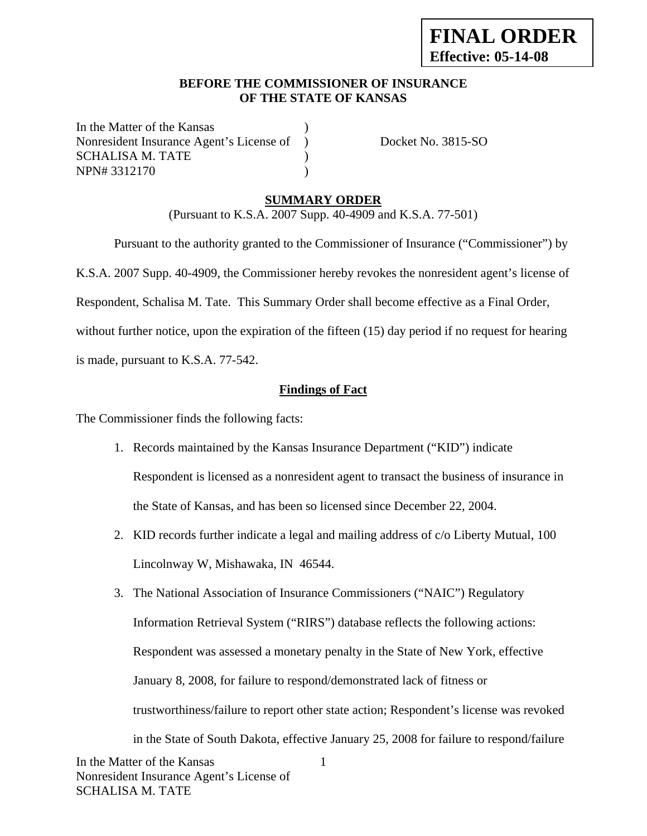### **BEFORE THE COMMISSIONER OF INSURANCE OF THE STATE OF KANSAS**

In the Matter of the Kansas Nonresident Insurance Agent's License of ) Docket No. 3815-SO SCHALISA M. TATE (1998) NPN# 3312170 )

## **SUMMARY ORDER**

(Pursuant to K.S.A. 2007 Supp. 40-4909 and K.S.A. 77-501)

 Pursuant to the authority granted to the Commissioner of Insurance ("Commissioner") by K.S.A. 2007 Supp. 40-4909, the Commissioner hereby revokes the nonresident agent's license of Respondent, Schalisa M. Tate. This Summary Order shall become effective as a Final Order, without further notice, upon the expiration of the fifteen (15) day period if no request for hearing is made, pursuant to K.S.A. 77-542.

### **Findings of Fact**

The Commissioner finds the following facts:

- 1. Records maintained by the Kansas Insurance Department ("KID") indicate Respondent is licensed as a nonresident agent to transact the business of insurance in the State of Kansas, and has been so licensed since December 22, 2004.
- 2. KID records further indicate a legal and mailing address of c/o Liberty Mutual, 100 Lincolnway W, Mishawaka, IN 46544.
- 1 3. The National Association of Insurance Commissioners ("NAIC") Regulatory Information Retrieval System ("RIRS") database reflects the following actions: Respondent was assessed a monetary penalty in the State of New York, effective January 8, 2008, for failure to respond/demonstrated lack of fitness or trustworthiness/failure to report other state action; Respondent's license was revoked in the State of South Dakota, effective January 25, 2008 for failure to respond/failure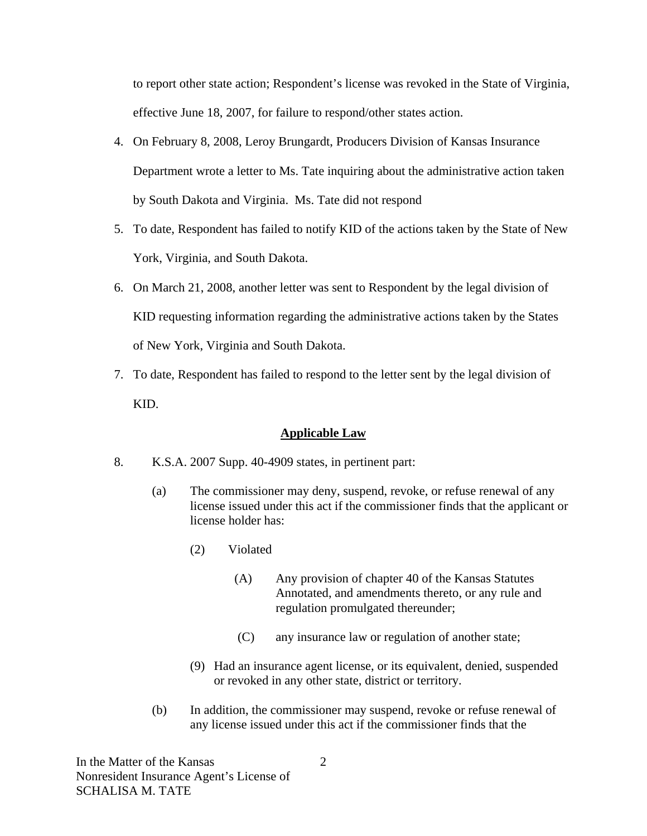to report other state action; Respondent's license was revoked in the State of Virginia, effective June 18, 2007, for failure to respond/other states action.

- 4. On February 8, 2008, Leroy Brungardt, Producers Division of Kansas Insurance Department wrote a letter to Ms. Tate inquiring about the administrative action taken by South Dakota and Virginia. Ms. Tate did not respond
- 5. To date, Respondent has failed to notify KID of the actions taken by the State of New York, Virginia, and South Dakota.
- 6. On March 21, 2008, another letter was sent to Respondent by the legal division of KID requesting information regarding the administrative actions taken by the States of New York, Virginia and South Dakota.
- 7. To date, Respondent has failed to respond to the letter sent by the legal division of KID.

### **Applicable Law**

- 8. K.S.A. 2007 Supp. 40-4909 states, in pertinent part:
	- (a) The commissioner may deny, suspend, revoke, or refuse renewal of any license issued under this act if the commissioner finds that the applicant or license holder has:
		- (2) Violated
			- (A) Any provision of chapter 40 of the Kansas Statutes Annotated, and amendments thereto, or any rule and regulation promulgated thereunder;
			- (C) any insurance law or regulation of another state;
		- (9) Had an insurance agent license, or its equivalent, denied, suspended or revoked in any other state, district or territory.
	- (b) In addition, the commissioner may suspend, revoke or refuse renewal of any license issued under this act if the commissioner finds that the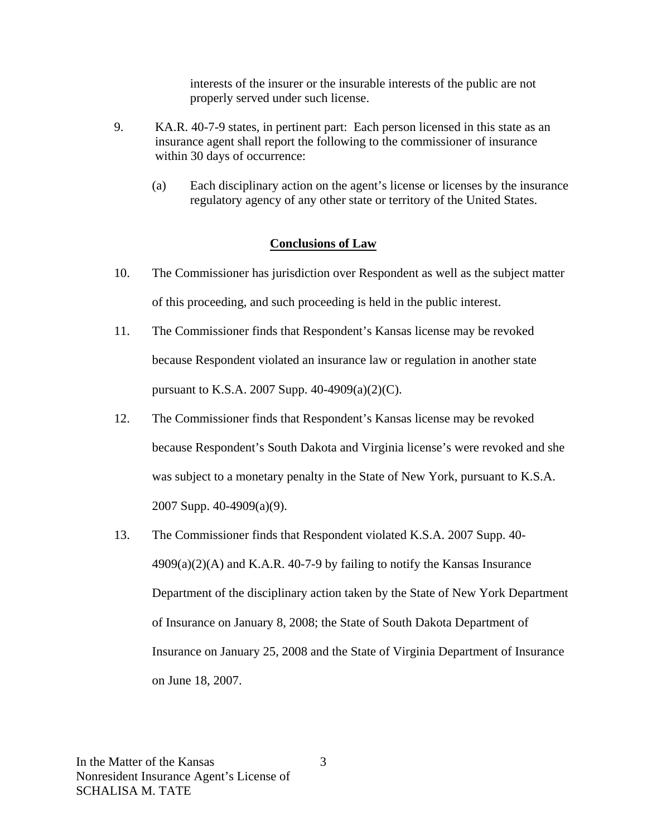interests of the insurer or the insurable interests of the public are not properly served under such license.

- 9. KA.R. 40-7-9 states, in pertinent part: Each person licensed in this state as an insurance agent shall report the following to the commissioner of insurance within 30 days of occurrence:
	- (a) Each disciplinary action on the agent's license or licenses by the insurance regulatory agency of any other state or territory of the United States.

#### **Conclusions of Law**

- 10. The Commissioner has jurisdiction over Respondent as well as the subject matter of this proceeding, and such proceeding is held in the public interest.
- 11. The Commissioner finds that Respondent's Kansas license may be revoked because Respondent violated an insurance law or regulation in another state pursuant to K.S.A. 2007 Supp. 40-4909(a)(2)(C).
- 12. The Commissioner finds that Respondent's Kansas license may be revoked because Respondent's South Dakota and Virginia license's were revoked and she was subject to a monetary penalty in the State of New York, pursuant to K.S.A. 2007 Supp. 40-4909(a)(9).
- 13. The Commissioner finds that Respondent violated K.S.A. 2007 Supp. 40-  $4909(a)(2)$ (A) and K.A.R. 40-7-9 by failing to notify the Kansas Insurance Department of the disciplinary action taken by the State of New York Department of Insurance on January 8, 2008; the State of South Dakota Department of Insurance on January 25, 2008 and the State of Virginia Department of Insurance on June 18, 2007.

3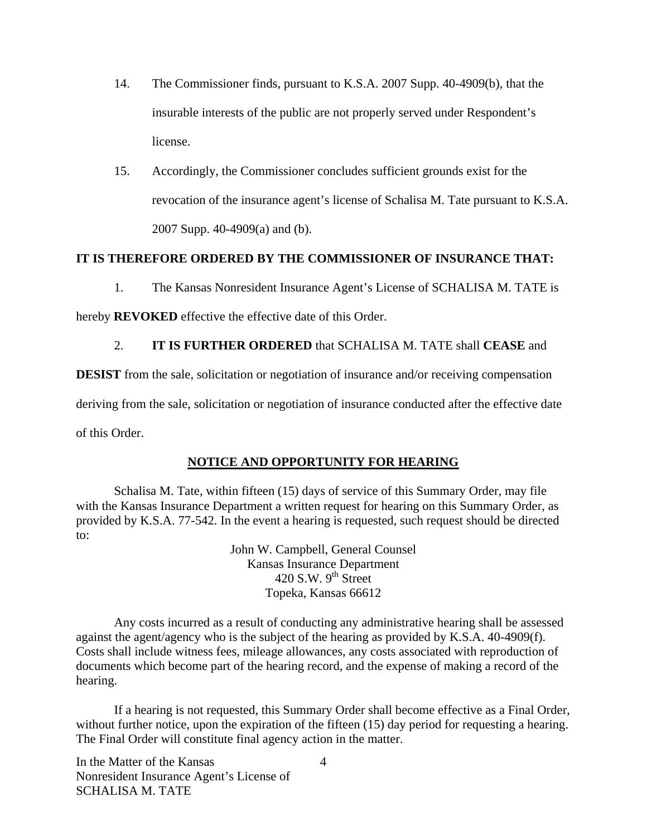- 14. The Commissioner finds, pursuant to K.S.A. 2007 Supp. 40-4909(b), that the insurable interests of the public are not properly served under Respondent's license.
- 15. Accordingly, the Commissioner concludes sufficient grounds exist for the revocation of the insurance agent's license of Schalisa M. Tate pursuant to K.S.A. 2007 Supp. 40-4909(a) and (b).

#### **IT IS THEREFORE ORDERED BY THE COMMISSIONER OF INSURANCE THAT:**

1. The Kansas Nonresident Insurance Agent's License of SCHALISA M. TATE is

hereby **REVOKED** effective the effective date of this Order.

### 2. **IT IS FURTHER ORDERED** that SCHALISA M. TATE shall **CEASE** and

**DESIST** from the sale, solicitation or negotiation of insurance and/or receiving compensation

deriving from the sale, solicitation or negotiation of insurance conducted after the effective date

of this Order.

### **NOTICE AND OPPORTUNITY FOR HEARING**

Schalisa M. Tate, within fifteen (15) days of service of this Summary Order, may file with the Kansas Insurance Department a written request for hearing on this Summary Order, as provided by K.S.A. 77-542. In the event a hearing is requested, such request should be directed to:

> John W. Campbell, General Counsel Kansas Insurance Department 420 S.W.  $9<sup>th</sup>$  Street Topeka, Kansas 66612

Any costs incurred as a result of conducting any administrative hearing shall be assessed against the agent/agency who is the subject of the hearing as provided by K.S.A. 40-4909(f). Costs shall include witness fees, mileage allowances, any costs associated with reproduction of documents which become part of the hearing record, and the expense of making a record of the hearing.

If a hearing is not requested, this Summary Order shall become effective as a Final Order, without further notice, upon the expiration of the fifteen (15) day period for requesting a hearing. The Final Order will constitute final agency action in the matter.

In the Matter of the Kansas Nonresident Insurance Agent's License of SCHALISA M. TATE

4